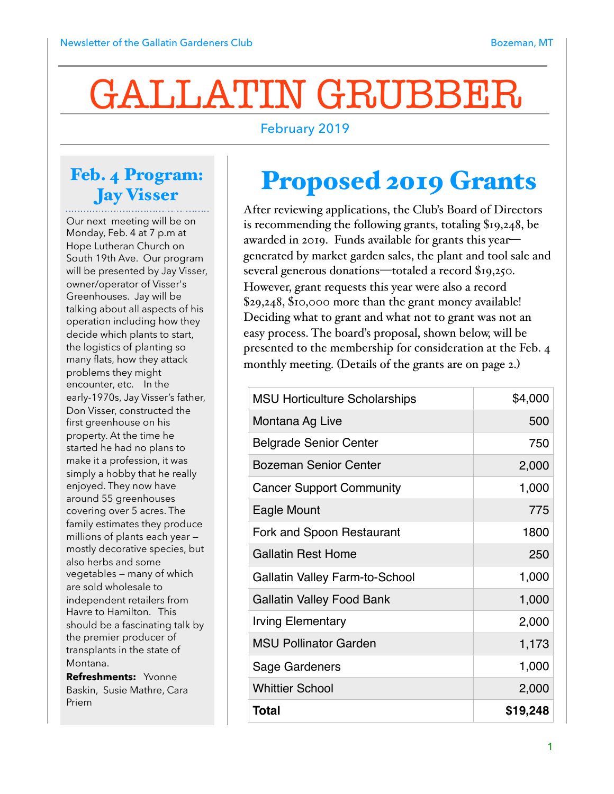# GALLATIN GRUBBER

#### February 2019

#### Feb. 4 Program: Jay Visser

Our next meeting will be on Monday, Feb. 4 at 7 p.m at Hope Lutheran Church on South 19th Ave. Our program will be presented by Jay Visser, owner/operator of Visser's Greenhouses. Jay will be talking about all aspects of his operation including how they decide which plants to start, the logistics of planting so many flats, how they attack problems they might encounter, etc. In the early-1970s, Jay Visser's father, Don Visser, constructed the first greenhouse on his property. At the time he started he had no plans to make it a profession, it was simply a hobby that he really enjoyed. They now have around 55 greenhouses covering over 5 acres. The family estimates they produce millions of plants each year mostly decorative species, but also herbs and some vegetables — many of which are sold wholesale to independent retailers from Havre to Hamilton. This should be a fascinating talk by the premier producer of transplants in the state of Montana.

**Refreshments:** Yvonne Baskin, Susie Mathre, Cara Priem

### Proposed 2019 Grants

After reviewing applications, the Club's Board of Directors is recommending the following grants, totaling \$19,248, be awarded in 2019. Funds available for grants this year generated by market garden sales, the plant and tool sale and several generous donations—totaled a record \$19,250. However, grant requests this year were also a record \$29,248, \$10,000 more than the grant money available! Deciding what to grant and what not to grant was not an easy process. The board's proposal, shown below, will be presented to the membership for consideration at the Feb. 4 monthly meeting. (Details of the grants are on page 2.)

| <b>MSU Horticulture Scholarships</b>  | \$4,000  |
|---------------------------------------|----------|
| Montana Ag Live                       | 500      |
| <b>Belgrade Senior Center</b>         | 750      |
| <b>Bozeman Senior Center</b>          | 2,000    |
| <b>Cancer Support Community</b>       | 1,000    |
| Eagle Mount                           | 775      |
| Fork and Spoon Restaurant             | 1800     |
| <b>Gallatin Rest Home</b>             | 250      |
| <b>Gallatin Valley Farm-to-School</b> | 1,000    |
| <b>Gallatin Valley Food Bank</b>      | 1,000    |
| Irving Elementary                     | 2,000    |
| <b>MSU Pollinator Garden</b>          | 1,173    |
| Sage Gardeners                        | 1,000    |
| <b>Whittier School</b>                | 2,000    |
| <b>Total</b>                          | \$19,248 |